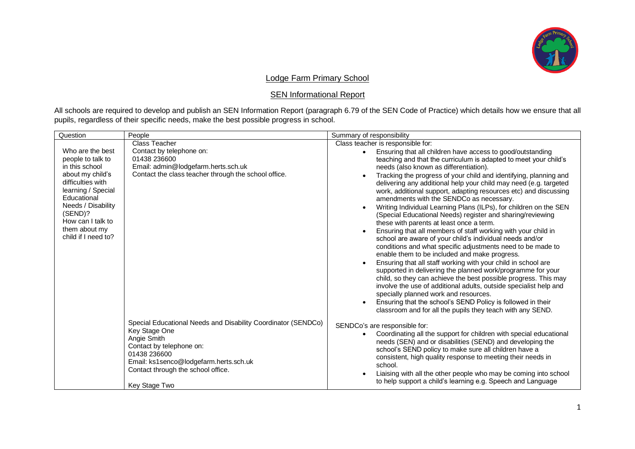

## Lodge Farm Primary School

## **SEN Informational Report**

All schools are required to develop and publish an SEN Information Report (paragraph 6.79 of the SEN Code of Practice) which details how we ensure that all pupils, regardless of their specific needs, make the best possible progress in school.

| Question                                                                                                                                                                                                                            | People                                                                                                                                                                                                                                     | Summary of responsibility                                                                                                                                                                                                                                                                                                                                                                                                                                                                                                                                                                                                                                                                                                                                                                                                                                                                                                                                                                                                                                                                                                                                                                                                                                                                                                                         |
|-------------------------------------------------------------------------------------------------------------------------------------------------------------------------------------------------------------------------------------|--------------------------------------------------------------------------------------------------------------------------------------------------------------------------------------------------------------------------------------------|---------------------------------------------------------------------------------------------------------------------------------------------------------------------------------------------------------------------------------------------------------------------------------------------------------------------------------------------------------------------------------------------------------------------------------------------------------------------------------------------------------------------------------------------------------------------------------------------------------------------------------------------------------------------------------------------------------------------------------------------------------------------------------------------------------------------------------------------------------------------------------------------------------------------------------------------------------------------------------------------------------------------------------------------------------------------------------------------------------------------------------------------------------------------------------------------------------------------------------------------------------------------------------------------------------------------------------------------------|
| Who are the best<br>people to talk to<br>in this school<br>about my child's<br>difficulties with<br>learning / Special<br>Educational<br>Needs / Disability<br>(SEND)?<br>How can I talk to<br>them about my<br>child if I need to? | Class Teacher<br>Contact by telephone on:<br>01438 236600<br>Email: admin@lodgefarm.herts.sch.uk<br>Contact the class teacher through the school office.                                                                                   | Class teacher is responsible for:<br>Ensuring that all children have access to good/outstanding<br>teaching and that the curriculum is adapted to meet your child's<br>needs (also known as differentiation).<br>Tracking the progress of your child and identifying, planning and<br>delivering any additional help your child may need (e.g. targeted<br>work, additional support, adapting resources etc) and discussing<br>amendments with the SENDCo as necessary.<br>Writing Individual Learning Plans (ILPs), for children on the SEN<br>(Special Educational Needs) register and sharing/reviewing<br>these with parents at least once a term.<br>Ensuring that all members of staff working with your child in<br>school are aware of your child's individual needs and/or<br>conditions and what specific adjustments need to be made to<br>enable them to be included and make progress.<br>Ensuring that all staff working with your child in school are<br>supported in delivering the planned work/programme for your<br>child, so they can achieve the best possible progress. This may<br>involve the use of additional adults, outside specialist help and<br>specially planned work and resources.<br>Ensuring that the school's SEND Policy is followed in their<br>classroom and for all the pupils they teach with any SEND. |
|                                                                                                                                                                                                                                     | Special Educational Needs and Disability Coordinator (SENDCo)<br>Key Stage One<br>Angie Smith<br>Contact by telephone on:<br>01438 236600<br>Email: ks1senco@lodgefarm.herts.sch.uk<br>Contact through the school office.<br>Key Stage Two | SENDCo's are responsible for:<br>Coordinating all the support for children with special educational<br>needs (SEN) and or disabilities (SEND) and developing the<br>school's SEND policy to make sure all children have a<br>consistent, high quality response to meeting their needs in<br>school.<br>Liaising with all the other people who may be coming into school<br>to help support a child's learning e.g. Speech and Language                                                                                                                                                                                                                                                                                                                                                                                                                                                                                                                                                                                                                                                                                                                                                                                                                                                                                                            |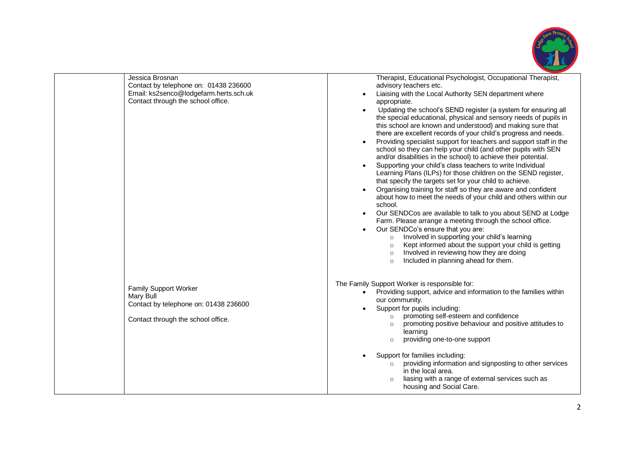

| Jessica Brosnan<br>Contact by telephone on: 01438 236600<br>Email: ks2senco@lodgefarm.herts.sch.uk<br>Contact through the school office. | Therapist, Educational Psychologist, Occupational Therapist,<br>advisory teachers etc.<br>Liaising with the Local Authority SEN department where<br>$\bullet$<br>appropriate.<br>Updating the school's SEND register (a system for ensuring all<br>$\bullet$<br>the special educational, physical and sensory needs of pupils in<br>this school are known and understood) and making sure that<br>there are excellent records of your child's progress and needs.<br>Providing specialist support for teachers and support staff in the<br>$\bullet$<br>school so they can help your child (and other pupils with SEN<br>and/or disabilities in the school) to achieve their potential.<br>Supporting your child's class teachers to write Individual<br>Learning Plans (ILPs) for those children on the SEND register,<br>that specify the targets set for your child to achieve.<br>Organising training for staff so they are aware and confident<br>$\bullet$<br>about how to meet the needs of your child and others within our<br>school.<br>Our SENDCos are available to talk to you about SEND at Lodge<br>Farm. Please arrange a meeting through the school office.<br>Our SENDCo's ensure that you are:<br>Involved in supporting your child's learning<br>$\circ$<br>Kept informed about the support your child is getting<br>$\circ$<br>Involved in reviewing how they are doing<br>$\circ$<br>Included in planning ahead for them. |
|------------------------------------------------------------------------------------------------------------------------------------------|------------------------------------------------------------------------------------------------------------------------------------------------------------------------------------------------------------------------------------------------------------------------------------------------------------------------------------------------------------------------------------------------------------------------------------------------------------------------------------------------------------------------------------------------------------------------------------------------------------------------------------------------------------------------------------------------------------------------------------------------------------------------------------------------------------------------------------------------------------------------------------------------------------------------------------------------------------------------------------------------------------------------------------------------------------------------------------------------------------------------------------------------------------------------------------------------------------------------------------------------------------------------------------------------------------------------------------------------------------------------------------------------------------------------------------------------|
| <b>Family Support Worker</b><br>Mary Bull<br>Contact by telephone on: 01438 236600<br>Contact through the school office.                 | The Family Support Worker is responsible for:<br>Providing support, advice and information to the families within<br>$\bullet$<br>our community.<br>Support for pupils including:<br>promoting self-esteem and confidence<br>promoting positive behaviour and positive attitudes to<br>$\circ$<br>learning<br>providing one-to-one support<br>$\circ$<br>Support for families including:<br>providing information and signposting to other services<br>$\circ$<br>in the local area.<br>liasing with a range of external services such as<br>$\circ$<br>housing and Social Care.                                                                                                                                                                                                                                                                                                                                                                                                                                                                                                                                                                                                                                                                                                                                                                                                                                                               |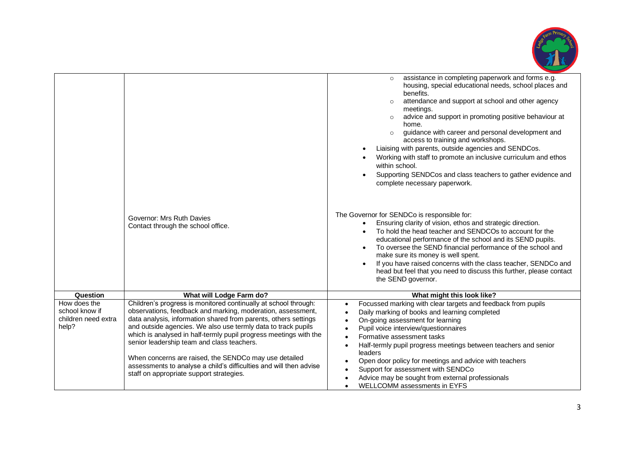

|                                                                |                                                                                                                                                                                                                                                                                                                                                                                                                                                                                                                                                                  | assistance in completing paperwork and forms e.g.<br>$\circ$<br>housing, special educational needs, school places and<br>benefits.<br>attendance and support at school and other agency<br>meetings.<br>advice and support in promoting positive behaviour at<br>$\circ$<br>home.<br>guidance with career and personal development and<br>$\circ$<br>access to training and workshops.<br>Liaising with parents, outside agencies and SENDCos.<br>Working with staff to promote an inclusive curriculum and ethos<br>within school.<br>Supporting SENDCos and class teachers to gather evidence and<br>complete necessary paperwork. |
|----------------------------------------------------------------|------------------------------------------------------------------------------------------------------------------------------------------------------------------------------------------------------------------------------------------------------------------------------------------------------------------------------------------------------------------------------------------------------------------------------------------------------------------------------------------------------------------------------------------------------------------|--------------------------------------------------------------------------------------------------------------------------------------------------------------------------------------------------------------------------------------------------------------------------------------------------------------------------------------------------------------------------------------------------------------------------------------------------------------------------------------------------------------------------------------------------------------------------------------------------------------------------------------|
|                                                                | Governor: Mrs Ruth Davies<br>Contact through the school office.                                                                                                                                                                                                                                                                                                                                                                                                                                                                                                  | The Governor for SENDCo is responsible for:<br>Ensuring clarity of vision, ethos and strategic direction.<br>To hold the head teacher and SENDCOs to account for the<br>educational performance of the school and its SEND pupils.<br>To oversee the SEND financial performance of the school and<br>make sure its money is well spent.<br>If you have raised concerns with the class teacher, SENDCo and<br>head but feel that you need to discuss this further, please contact<br>the SEND governor.                                                                                                                               |
| Question                                                       | What will Lodge Farm do?                                                                                                                                                                                                                                                                                                                                                                                                                                                                                                                                         | What might this look like?                                                                                                                                                                                                                                                                                                                                                                                                                                                                                                                                                                                                           |
| How does the<br>school know if<br>children need extra<br>help? | Children's progress is monitored continually at school through:<br>observations, feedback and marking, moderation, assessment,<br>data analysis, information shared from parents, others settings<br>and outside agencies. We also use termly data to track pupils<br>which is analysed in half-termly pupil progress meetings with the<br>senior leadership team and class teachers.<br>When concerns are raised, the SENDCo may use detailed<br>assessments to analyse a child's difficulties and will then advise<br>staff on appropriate support strategies. | Focussed marking with clear targets and feedback from pupils<br>$\bullet$<br>Daily marking of books and learning completed<br>$\bullet$<br>On-going assessment for learning<br>$\bullet$<br>Pupil voice interview/questionnaires<br>Formative assessment tasks<br>$\bullet$<br>Half-termly pupil progress meetings between teachers and senior<br>$\bullet$<br>leaders<br>Open door policy for meetings and advice with teachers<br>Support for assessment with SENDCo<br>$\bullet$<br>Advice may be sought from external professionals<br>WELLCOMM assessments in EYFS<br>$\bullet$                                                 |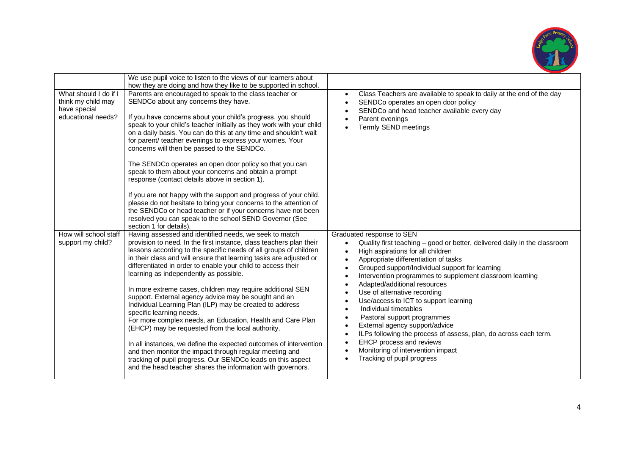

|                                                                                   | We use pupil voice to listen to the views of our learners about<br>how they are doing and how they like to be supported in school.                                                                                                                                                                                                                                                                                                                                                                                                                                                                                                                                                                                                                                                                                                                                                                                                                                                |                                                                                                                                                                                                                                                                                                                                                                                                                                                                                                                                                                                                                                                                                                                                                                                               |
|-----------------------------------------------------------------------------------|-----------------------------------------------------------------------------------------------------------------------------------------------------------------------------------------------------------------------------------------------------------------------------------------------------------------------------------------------------------------------------------------------------------------------------------------------------------------------------------------------------------------------------------------------------------------------------------------------------------------------------------------------------------------------------------------------------------------------------------------------------------------------------------------------------------------------------------------------------------------------------------------------------------------------------------------------------------------------------------|-----------------------------------------------------------------------------------------------------------------------------------------------------------------------------------------------------------------------------------------------------------------------------------------------------------------------------------------------------------------------------------------------------------------------------------------------------------------------------------------------------------------------------------------------------------------------------------------------------------------------------------------------------------------------------------------------------------------------------------------------------------------------------------------------|
| What should I do if I<br>think my child may<br>have special<br>educational needs? | Parents are encouraged to speak to the class teacher or<br>SENDCo about any concerns they have.<br>If you have concerns about your child's progress, you should<br>speak to your child's teacher initially as they work with your child<br>on a daily basis. You can do this at any time and shouldn't wait<br>for parent/ teacher evenings to express your worries. Your<br>concerns will then be passed to the SENDCo.<br>The SENDCo operates an open door policy so that you can<br>speak to them about your concerns and obtain a prompt<br>response (contact details above in section 1).<br>If you are not happy with the support and progress of your child,<br>please do not hesitate to bring your concerns to the attention of<br>the SENDCo or head teacher or if your concerns have not been<br>resolved you can speak to the school SEND Governor (See<br>section 1 for details).                                                                                    | Class Teachers are available to speak to daily at the end of the day<br>$\bullet$<br>SENDCo operates an open door policy<br>$\bullet$<br>SENDCo and head teacher available every day<br>$\bullet$<br>Parent evenings<br>$\bullet$<br><b>Termly SEND meetings</b><br>$\bullet$                                                                                                                                                                                                                                                                                                                                                                                                                                                                                                                 |
| How will school staff<br>support my child?                                        | Having assessed and identified needs, we seek to match<br>provision to need. In the first instance, class teachers plan their<br>lessons according to the specific needs of all groups of children<br>in their class and will ensure that learning tasks are adjusted or<br>differentiated in order to enable your child to access their<br>learning as independently as possible.<br>In more extreme cases, children may require additional SEN<br>support. External agency advice may be sought and an<br>Individual Learning Plan (ILP) may be created to address<br>specific learning needs.<br>For more complex needs, an Education, Health and Care Plan<br>(EHCP) may be requested from the local authority.<br>In all instances, we define the expected outcomes of intervention<br>and then monitor the impact through regular meeting and<br>tracking of pupil progress. Our SENDCo leads on this aspect<br>and the head teacher shares the information with governors. | Graduated response to SEN<br>Quality first teaching - good or better, delivered daily in the classroom<br>$\bullet$<br>High aspirations for all children<br>$\bullet$<br>Appropriate differentiation of tasks<br>$\bullet$<br>Grouped support/Individual support for learning<br>$\bullet$<br>Intervention programmes to supplement classroom learning<br>$\bullet$<br>Adapted/additional resources<br>Use of alternative recording<br>Use/access to ICT to support learning<br>$\bullet$<br>Individual timetables<br>$\bullet$<br>Pastoral support programmes<br>External agency support/advice<br>$\bullet$<br>ILPs following the process of assess, plan, do across each term.<br>$\bullet$<br>EHCP process and reviews<br>Monitoring of intervention impact<br>Tracking of pupil progress |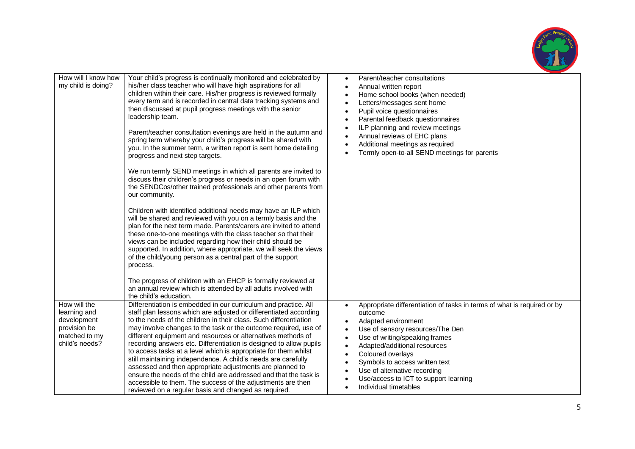

| How will I know how<br>my child is doing?                                                      | Your child's progress is continually monitored and celebrated by<br>his/her class teacher who will have high aspirations for all<br>children within their care. His/her progress is reviewed formally<br>every term and is recorded in central data tracking systems and<br>then discussed at pupil progress meetings with the senior<br>leadership team.<br>Parent/teacher consultation evenings are held in the autumn and<br>spring term whereby your child's progress will be shared with<br>you. In the summer term, a written report is sent home detailing<br>progress and next step targets.                                                                                                                                                                                                          | Parent/teacher consultations<br>$\bullet$<br>Annual written report<br>$\bullet$<br>Home school books (when needed)<br>$\bullet$<br>Letters/messages sent home<br>$\bullet$<br>Pupil voice questionnaires<br>$\bullet$<br>Parental feedback questionnaires<br>$\bullet$<br>ILP planning and review meetings<br>$\bullet$<br>Annual reviews of EHC plans<br>Additional meetings as required<br>Termly open-to-all SEND meetings for parents                                        |
|------------------------------------------------------------------------------------------------|---------------------------------------------------------------------------------------------------------------------------------------------------------------------------------------------------------------------------------------------------------------------------------------------------------------------------------------------------------------------------------------------------------------------------------------------------------------------------------------------------------------------------------------------------------------------------------------------------------------------------------------------------------------------------------------------------------------------------------------------------------------------------------------------------------------|----------------------------------------------------------------------------------------------------------------------------------------------------------------------------------------------------------------------------------------------------------------------------------------------------------------------------------------------------------------------------------------------------------------------------------------------------------------------------------|
|                                                                                                | We run termly SEND meetings in which all parents are invited to<br>discuss their children's progress or needs in an open forum with<br>the SENDCos/other trained professionals and other parents from<br>our community.                                                                                                                                                                                                                                                                                                                                                                                                                                                                                                                                                                                       |                                                                                                                                                                                                                                                                                                                                                                                                                                                                                  |
|                                                                                                | Children with identified additional needs may have an ILP which<br>will be shared and reviewed with you on a termly basis and the<br>plan for the next term made. Parents/carers are invited to attend<br>these one-to-one meetings with the class teacher so that their<br>views can be included regarding how their child should be<br>supported. In addition, where appropriate, we will seek the views<br>of the child/young person as a central part of the support<br>process.                                                                                                                                                                                                                                                                                                                          |                                                                                                                                                                                                                                                                                                                                                                                                                                                                                  |
|                                                                                                | The progress of children with an EHCP is formally reviewed at<br>an annual review which is attended by all adults involved with<br>the child's education.                                                                                                                                                                                                                                                                                                                                                                                                                                                                                                                                                                                                                                                     |                                                                                                                                                                                                                                                                                                                                                                                                                                                                                  |
| How will the<br>learning and<br>development<br>provision be<br>matched to my<br>child's needs? | Differentiation is embedded in our curriculum and practice. All<br>staff plan lessons which are adjusted or differentiated according<br>to the needs of the children in their class. Such differentiation<br>may involve changes to the task or the outcome required, use of<br>different equipment and resources or alternatives methods of<br>recording answers etc. Differentiation is designed to allow pupils<br>to access tasks at a level which is appropriate for them whilst<br>still maintaining independence. A child's needs are carefully<br>assessed and then appropriate adjustments are planned to<br>ensure the needs of the child are addressed and that the task is<br>accessible to them. The success of the adjustments are then<br>reviewed on a regular basis and changed as required. | Appropriate differentiation of tasks in terms of what is required or by<br>$\bullet$<br>outcome<br>Adapted environment<br>Use of sensory resources/The Den<br>$\bullet$<br>Use of writing/speaking frames<br>$\bullet$<br>Adapted/additional resources<br>$\bullet$<br>Coloured overlays<br>$\bullet$<br>Symbols to access written text<br>$\bullet$<br>Use of alternative recording<br>$\bullet$<br>Use/access to ICT to support learning<br>Individual timetables<br>$\bullet$ |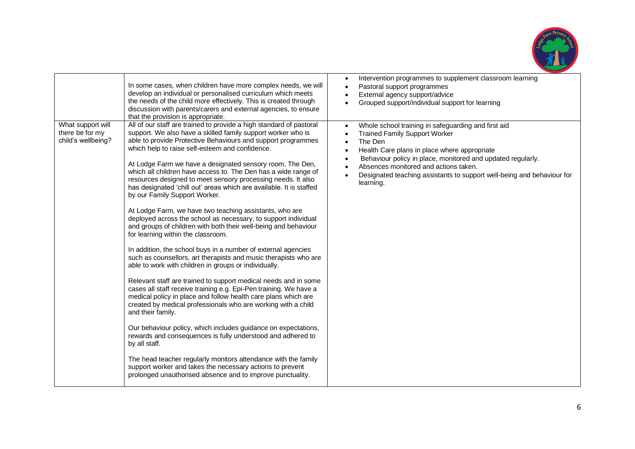

| In some cases, when children have more complex needs, we will                                                                                                                                                                                                                                                                                                                                                                                                                                                                                                                                                                                                                                                                                                                                                                                                                                                                                                                                                                                                                                                                                                                                                                                                                                                                                                                                                                                                                                                                                                                                                                                                                                                  | Intervention programmes to supplement classroom learning                                                                                                                                                                                                                                                                                                                        |
|----------------------------------------------------------------------------------------------------------------------------------------------------------------------------------------------------------------------------------------------------------------------------------------------------------------------------------------------------------------------------------------------------------------------------------------------------------------------------------------------------------------------------------------------------------------------------------------------------------------------------------------------------------------------------------------------------------------------------------------------------------------------------------------------------------------------------------------------------------------------------------------------------------------------------------------------------------------------------------------------------------------------------------------------------------------------------------------------------------------------------------------------------------------------------------------------------------------------------------------------------------------------------------------------------------------------------------------------------------------------------------------------------------------------------------------------------------------------------------------------------------------------------------------------------------------------------------------------------------------------------------------------------------------------------------------------------------------|---------------------------------------------------------------------------------------------------------------------------------------------------------------------------------------------------------------------------------------------------------------------------------------------------------------------------------------------------------------------------------|
| develop an individual or personalised curriculum which meets                                                                                                                                                                                                                                                                                                                                                                                                                                                                                                                                                                                                                                                                                                                                                                                                                                                                                                                                                                                                                                                                                                                                                                                                                                                                                                                                                                                                                                                                                                                                                                                                                                                   | $\bullet$                                                                                                                                                                                                                                                                                                                                                                       |
| the needs of the child more effectively. This is created through                                                                                                                                                                                                                                                                                                                                                                                                                                                                                                                                                                                                                                                                                                                                                                                                                                                                                                                                                                                                                                                                                                                                                                                                                                                                                                                                                                                                                                                                                                                                                                                                                                               | Pastoral support programmes                                                                                                                                                                                                                                                                                                                                                     |
| discussion with parents/carers and external agencies, to ensure                                                                                                                                                                                                                                                                                                                                                                                                                                                                                                                                                                                                                                                                                                                                                                                                                                                                                                                                                                                                                                                                                                                                                                                                                                                                                                                                                                                                                                                                                                                                                                                                                                                | External agency support/advice                                                                                                                                                                                                                                                                                                                                                  |
| that the provision is appropriate.                                                                                                                                                                                                                                                                                                                                                                                                                                                                                                                                                                                                                                                                                                                                                                                                                                                                                                                                                                                                                                                                                                                                                                                                                                                                                                                                                                                                                                                                                                                                                                                                                                                                             | Grouped support/individual support for learning                                                                                                                                                                                                                                                                                                                                 |
| All of our staff are trained to provide a high standard of pastoral<br>What support will<br>support. We also have a skilled family support worker who is<br>there be for my<br>child's wellbeing?<br>able to provide Protective Behaviours and support programmes<br>which help to raise self-esteem and confidence.<br>At Lodge Farm we have a designated sensory room, The Den,<br>which all children have access to. The Den has a wide range of<br>resources designed to meet sensory processing needs. It also<br>has designated 'chill out' areas which are available. It is staffed<br>by our Family Support Worker.<br>At Lodge Farm, we have two teaching assistants, who are<br>deployed across the school as necessary, to support individual<br>and groups of children with both their well-being and behaviour<br>for learning within the classroom.<br>In addition, the school buys in a number of external agencies<br>such as counsellors, art therapists and music therapists who are<br>able to work with children in groups or individually.<br>Relevant staff are trained to support medical needs and in some<br>cases all staff receive training e.g. Epi-Pen training. We have a<br>medical policy in place and follow health care plans which are<br>created by medical professionals who are working with a child<br>and their family.<br>Our behaviour policy, which includes guidance on expectations,<br>rewards and consequences is fully understood and adhered to<br>by all staff.<br>The head teacher regularly monitors attendance with the family<br>support worker and takes the necessary actions to prevent<br>prolonged unauthorised absence and to improve punctuality. | Whole school training in safeguarding and first aid<br><b>Trained Family Support Worker</b><br>The Den<br>$\bullet$<br>Health Care plans in place where appropriate<br>$\bullet$<br>Behaviour policy in place, monitored and updated regularly.<br>Absences monitored and actions taken.<br>Designated teaching assistants to support well-being and behaviour for<br>learning. |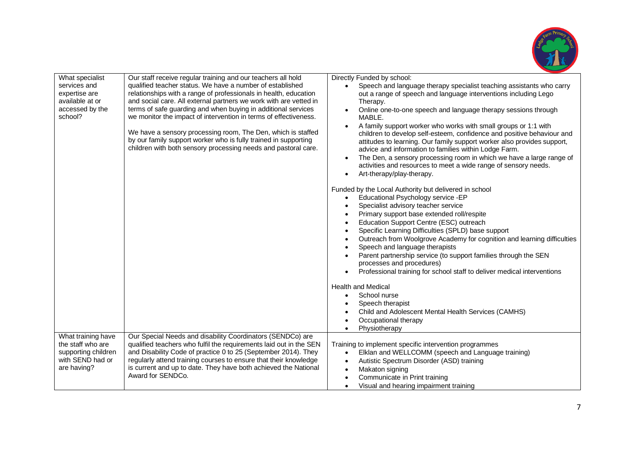

| What specialist            | Our staff receive regular training and our teachers all hold                                                                                                                                      | Directly Funded by school:                                                                                                                                                                                                                                                                                                                                                                                                                                         |
|----------------------------|---------------------------------------------------------------------------------------------------------------------------------------------------------------------------------------------------|--------------------------------------------------------------------------------------------------------------------------------------------------------------------------------------------------------------------------------------------------------------------------------------------------------------------------------------------------------------------------------------------------------------------------------------------------------------------|
| services and               | qualified teacher status. We have a number of established                                                                                                                                         | Speech and language therapy specialist teaching assistants who carry                                                                                                                                                                                                                                                                                                                                                                                               |
| expertise are              | relationships with a range of professionals in health, education                                                                                                                                  | out a range of speech and language interventions including Lego                                                                                                                                                                                                                                                                                                                                                                                                    |
| available at or            | and social care. All external partners we work with are vetted in                                                                                                                                 | Therapy.                                                                                                                                                                                                                                                                                                                                                                                                                                                           |
| accessed by the<br>school? | terms of safe guarding and when buying in additional services<br>we monitor the impact of intervention in terms of effectiveness.                                                                 | Online one-to-one speech and language therapy sessions through<br>MABLE.                                                                                                                                                                                                                                                                                                                                                                                           |
|                            |                                                                                                                                                                                                   |                                                                                                                                                                                                                                                                                                                                                                                                                                                                    |
|                            | We have a sensory processing room, The Den, which is staffed<br>by our family support worker who is fully trained in supporting<br>children with both sensory processing needs and pastoral care. | A family support worker who works with small groups or 1:1 with<br>children to develop self-esteem, confidence and positive behaviour and<br>attitudes to learning. Our family support worker also provides support,<br>advice and information to families within Lodge Farm.<br>The Den, a sensory processing room in which we have a large range of<br>activities and resources to meet a wide range of sensory needs.<br>Art-therapy/play-therapy.<br>$\bullet$ |
|                            |                                                                                                                                                                                                   | Funded by the Local Authority but delivered in school                                                                                                                                                                                                                                                                                                                                                                                                              |
|                            |                                                                                                                                                                                                   | Educational Psychology service -EP<br>$\bullet$                                                                                                                                                                                                                                                                                                                                                                                                                    |
|                            |                                                                                                                                                                                                   | Specialist advisory teacher service                                                                                                                                                                                                                                                                                                                                                                                                                                |
|                            |                                                                                                                                                                                                   | Primary support base extended roll/respite                                                                                                                                                                                                                                                                                                                                                                                                                         |
|                            |                                                                                                                                                                                                   | Education Support Centre (ESC) outreach                                                                                                                                                                                                                                                                                                                                                                                                                            |
|                            |                                                                                                                                                                                                   | Specific Learning Difficulties (SPLD) base support                                                                                                                                                                                                                                                                                                                                                                                                                 |
|                            |                                                                                                                                                                                                   | Outreach from Woolgrove Academy for cognition and learning difficulties                                                                                                                                                                                                                                                                                                                                                                                            |
|                            |                                                                                                                                                                                                   | Speech and language therapists                                                                                                                                                                                                                                                                                                                                                                                                                                     |
|                            |                                                                                                                                                                                                   | Parent partnership service (to support families through the SEN<br>processes and procedures)                                                                                                                                                                                                                                                                                                                                                                       |
|                            |                                                                                                                                                                                                   | Professional training for school staff to deliver medical interventions                                                                                                                                                                                                                                                                                                                                                                                            |
|                            |                                                                                                                                                                                                   |                                                                                                                                                                                                                                                                                                                                                                                                                                                                    |
|                            |                                                                                                                                                                                                   | <b>Health and Medical</b>                                                                                                                                                                                                                                                                                                                                                                                                                                          |
|                            |                                                                                                                                                                                                   | School nurse<br>$\bullet$                                                                                                                                                                                                                                                                                                                                                                                                                                          |
|                            |                                                                                                                                                                                                   | Speech therapist<br>Child and Adolescent Mental Health Services (CAMHS)                                                                                                                                                                                                                                                                                                                                                                                            |
|                            |                                                                                                                                                                                                   | Occupational therapy                                                                                                                                                                                                                                                                                                                                                                                                                                               |
|                            |                                                                                                                                                                                                   | Physiotherapy                                                                                                                                                                                                                                                                                                                                                                                                                                                      |
| What training have         | Our Special Needs and disability Coordinators (SENDCo) are                                                                                                                                        |                                                                                                                                                                                                                                                                                                                                                                                                                                                                    |
| the staff who are          | qualified teachers who fulfil the requirements laid out in the SEN                                                                                                                                | Training to implement specific intervention programmes                                                                                                                                                                                                                                                                                                                                                                                                             |
| supporting children        | and Disability Code of practice 0 to 25 (September 2014). They                                                                                                                                    | Elklan and WELLCOMM (speech and Language training)<br>$\bullet$                                                                                                                                                                                                                                                                                                                                                                                                    |
| with SEND had or           | regularly attend training courses to ensure that their knowledge                                                                                                                                  | Autistic Spectrum Disorder (ASD) training<br>$\bullet$                                                                                                                                                                                                                                                                                                                                                                                                             |
| are having?                | is current and up to date. They have both achieved the National                                                                                                                                   | Makaton signing<br>$\bullet$                                                                                                                                                                                                                                                                                                                                                                                                                                       |
|                            | Award for SENDCo.                                                                                                                                                                                 | Communicate in Print training                                                                                                                                                                                                                                                                                                                                                                                                                                      |
|                            |                                                                                                                                                                                                   | Visual and hearing impairment training<br>$\bullet$                                                                                                                                                                                                                                                                                                                                                                                                                |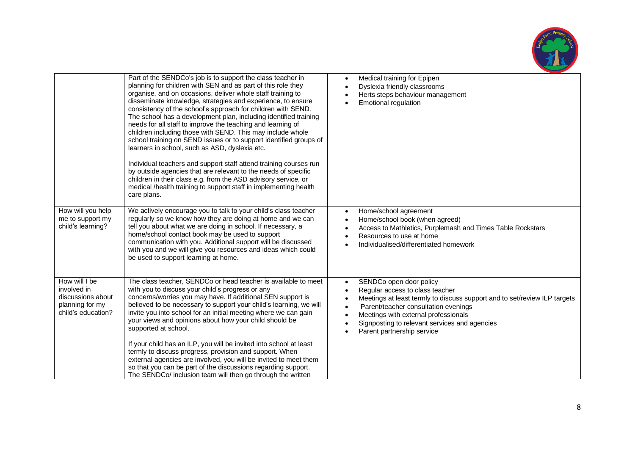

|                                                                                            | Part of the SENDCo's job is to support the class teacher in<br>planning for children with SEN and as part of this role they<br>organise, and on occasions, deliver whole staff training to<br>disseminate knowledge, strategies and experience, to ensure<br>consistency of the school's approach for children with SEND.<br>The school has a development plan, including identified training<br>needs for all staff to improve the teaching and learning of<br>children including those with SEND. This may include whole<br>school training on SEND issues or to support identified groups of<br>learners in school, such as ASD, dyslexia etc.<br>Individual teachers and support staff attend training courses run<br>by outside agencies that are relevant to the needs of specific<br>children in their class e.g. from the ASD advisory service, or<br>medical /health training to support staff in implementing health<br>care plans. | Medical training for Epipen<br>$\bullet$<br>Dyslexia friendly classrooms<br>Herts steps behaviour management<br><b>Emotional regulation</b>                                                                                                                                                                         |
|--------------------------------------------------------------------------------------------|-----------------------------------------------------------------------------------------------------------------------------------------------------------------------------------------------------------------------------------------------------------------------------------------------------------------------------------------------------------------------------------------------------------------------------------------------------------------------------------------------------------------------------------------------------------------------------------------------------------------------------------------------------------------------------------------------------------------------------------------------------------------------------------------------------------------------------------------------------------------------------------------------------------------------------------------------|---------------------------------------------------------------------------------------------------------------------------------------------------------------------------------------------------------------------------------------------------------------------------------------------------------------------|
| How will you help<br>me to support my<br>child's learning?                                 | We actively encourage you to talk to your child's class teacher<br>regularly so we know how they are doing at home and we can<br>tell you about what we are doing in school. If necessary, a<br>home/school contact book may be used to support<br>communication with you. Additional support will be discussed<br>with you and we will give you resources and ideas which could<br>be used to support learning at home.                                                                                                                                                                                                                                                                                                                                                                                                                                                                                                                      | Home/school agreement<br>$\bullet$<br>Home/school book (when agreed)<br>$\bullet$<br>Access to Mathletics, Purplemash and Times Table Rockstars<br>Resources to use at home<br>Individualised/differentiated homework                                                                                               |
| How will I be<br>involved in<br>discussions about<br>planning for my<br>child's education? | The class teacher, SENDCo or head teacher is available to meet<br>with you to discuss your child's progress or any<br>concerns/worries you may have. If additional SEN support is<br>believed to be necessary to support your child's learning, we will<br>invite you into school for an initial meeting where we can gain<br>your views and opinions about how your child should be<br>supported at school.<br>If your child has an ILP, you will be invited into school at least<br>termly to discuss progress, provision and support. When<br>external agencies are involved, you will be invited to meet them<br>so that you can be part of the discussions regarding support.<br>The SENDCo/ inclusion team will then go through the written                                                                                                                                                                                             | SENDCo open door policy<br>$\bullet$<br>Regular access to class teacher<br>Meetings at least termly to discuss support and to set/review ILP targets<br>Parent/teacher consultation evenings<br>Meetings with external professionals<br>Signposting to relevant services and agencies<br>Parent partnership service |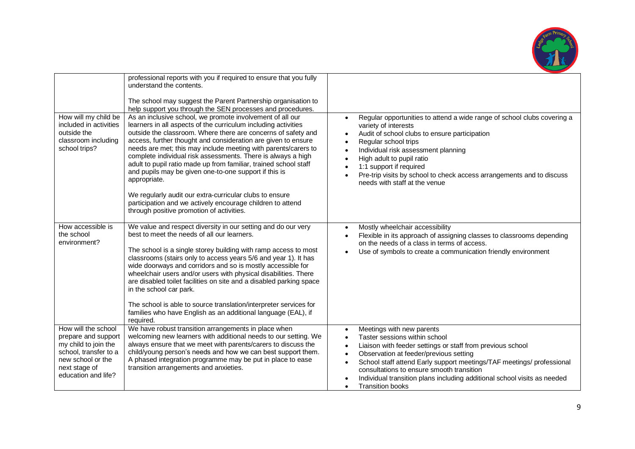

|                                                                                                                                                          | professional reports with you if required to ensure that you fully<br>understand the contents.<br>The school may suggest the Parent Partnership organisation to<br>help support you through the SEN processes and procedures.                                                                                                                                                                                                                                                                                                                                                                                                                                                                                      |                                                                                                                                                                                                                                                                                                                                                                                                                                                                                            |
|----------------------------------------------------------------------------------------------------------------------------------------------------------|--------------------------------------------------------------------------------------------------------------------------------------------------------------------------------------------------------------------------------------------------------------------------------------------------------------------------------------------------------------------------------------------------------------------------------------------------------------------------------------------------------------------------------------------------------------------------------------------------------------------------------------------------------------------------------------------------------------------|--------------------------------------------------------------------------------------------------------------------------------------------------------------------------------------------------------------------------------------------------------------------------------------------------------------------------------------------------------------------------------------------------------------------------------------------------------------------------------------------|
| How will my child be<br>included in activities<br>outside the<br>classroom including<br>school trips?                                                    | As an inclusive school, we promote involvement of all our<br>learners in all aspects of the curriculum including activities<br>outside the classroom. Where there are concerns of safety and<br>access, further thought and consideration are given to ensure<br>needs are met; this may include meeting with parents/carers to<br>complete individual risk assessments. There is always a high<br>adult to pupil ratio made up from familiar, trained school staff<br>and pupils may be given one-to-one support if this is<br>appropriate.<br>We regularly audit our extra-curricular clubs to ensure<br>participation and we actively encourage children to attend<br>through positive promotion of activities. | Regular opportunities to attend a wide range of school clubs covering a<br>$\bullet$<br>variety of interests<br>Audit of school clubs to ensure participation<br>$\bullet$<br>Regular school trips<br>$\bullet$<br>Individual risk assessment planning<br>$\bullet$<br>High adult to pupil ratio<br>$\bullet$<br>1:1 support if required<br>$\bullet$<br>Pre-trip visits by school to check access arrangements and to discuss<br>$\bullet$<br>needs with staff at the venue               |
| How accessible is<br>the school<br>environment?                                                                                                          | We value and respect diversity in our setting and do our very<br>best to meet the needs of all our learners.<br>The school is a single storey building with ramp access to most<br>classrooms (stairs only to access years 5/6 and year 1). It has<br>wide doorways and corridors and so is mostly accessible for<br>wheelchair users and/or users with physical disabilities. There<br>are disabled toilet facilities on site and a disabled parking space<br>in the school car park.<br>The school is able to source translation/interpreter services for<br>families who have English as an additional language (EAL), if<br>required.                                                                          | Mostly wheelchair accessibility<br>$\bullet$<br>Flexible in its approach of assigning classes to classrooms depending<br>$\bullet$<br>on the needs of a class in terms of access.<br>Use of symbols to create a communication friendly environment<br>$\bullet$                                                                                                                                                                                                                            |
| How will the school<br>prepare and support<br>my child to join the<br>school, transfer to a<br>new school or the<br>next stage of<br>education and life? | We have robust transition arrangements in place when<br>welcoming new learners with additional needs to our setting. We<br>always ensure that we meet with parents/carers to discuss the<br>child/young person's needs and how we can best support them.<br>A phased integration programme may be put in place to ease<br>transition arrangements and anxieties.                                                                                                                                                                                                                                                                                                                                                   | Meetings with new parents<br>$\bullet$<br>Taster sessions within school<br>$\bullet$<br>Liaison with feeder settings or staff from previous school<br>$\bullet$<br>Observation at feeder/previous setting<br>$\bullet$<br>School staff attend Early support meetings/TAF meetings/ professional<br>$\bullet$<br>consultations to ensure smooth transition<br>Individual transition plans including additional school visits as needed<br>$\bullet$<br><b>Transition books</b><br>$\bullet$ |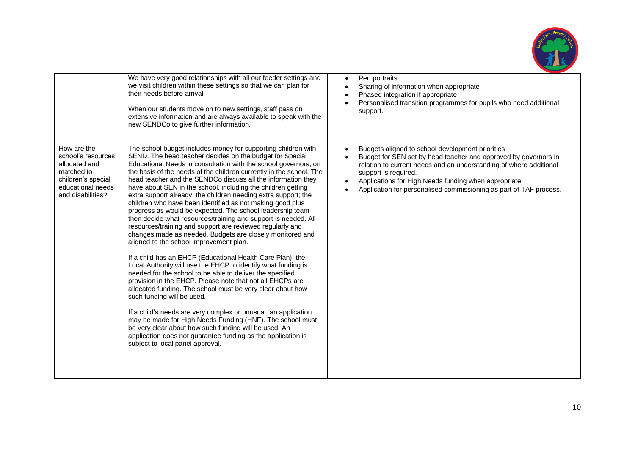

|                                                                                                                                  | We have very good relationships with all our feeder settings and<br>we visit children within these settings so that we can plan for<br>their needs before arrival.<br>When our students move on to new settings, staff pass on<br>extensive information and are always available to speak with the<br>new SENDCo to give further information.                                                                                                                                                                                                                                                                                                                                                                                                                                                                                                                                                                                                                                                                                                                                                                                                                                                                                                                                                                                                                                                                                                                                           | Pen portraits<br>$\bullet$<br>Sharing of information when appropriate<br>Phased integration if appropriate<br>Personalised transition programmes for pupils who need additional<br>support.                                                                                                                                                     |
|----------------------------------------------------------------------------------------------------------------------------------|-----------------------------------------------------------------------------------------------------------------------------------------------------------------------------------------------------------------------------------------------------------------------------------------------------------------------------------------------------------------------------------------------------------------------------------------------------------------------------------------------------------------------------------------------------------------------------------------------------------------------------------------------------------------------------------------------------------------------------------------------------------------------------------------------------------------------------------------------------------------------------------------------------------------------------------------------------------------------------------------------------------------------------------------------------------------------------------------------------------------------------------------------------------------------------------------------------------------------------------------------------------------------------------------------------------------------------------------------------------------------------------------------------------------------------------------------------------------------------------------|-------------------------------------------------------------------------------------------------------------------------------------------------------------------------------------------------------------------------------------------------------------------------------------------------------------------------------------------------|
| How are the<br>school's resources<br>allocated and<br>matched to<br>children's special<br>educational needs<br>and disabilities? | The school budget includes money for supporting children with<br>SEND. The head teacher decides on the budget for Special<br>Educational Needs in consultation with the school governors, on<br>the basis of the needs of the children currently in the school. The<br>head teacher and the SENDCo discuss all the information they<br>have about SEN in the school, including the children getting<br>extra support already; the children needing extra support; the<br>children who have been identified as not making good plus<br>progress as would be expected. The school leadership team<br>then decide what resources/training and support is needed. All<br>resources/training and support are reviewed regularly and<br>changes made as needed. Budgets are closely monitored and<br>aligned to the school improvement plan.<br>If a child has an EHCP (Educational Health Care Plan), the<br>Local Authority will use the EHCP to identify what funding is<br>needed for the school to be able to deliver the specified<br>provision in the EHCP. Please note that not all EHCPs are<br>allocated funding. The school must be very clear about how<br>such funding will be used.<br>If a child's needs are very complex or unusual, an application<br>may be made for High Needs Funding (HNF). The school must<br>be very clear about how such funding will be used. An<br>application does not guarantee funding as the application is<br>subject to local panel approval. | Budgets aligned to school development priorities<br>Budget for SEN set by head teacher and approved by governors in<br>relation to current needs and an understanding of where additional<br>support is required.<br>Applications for High Needs funding when appropriate<br>Application for personalised commissioning as part of TAF process. |